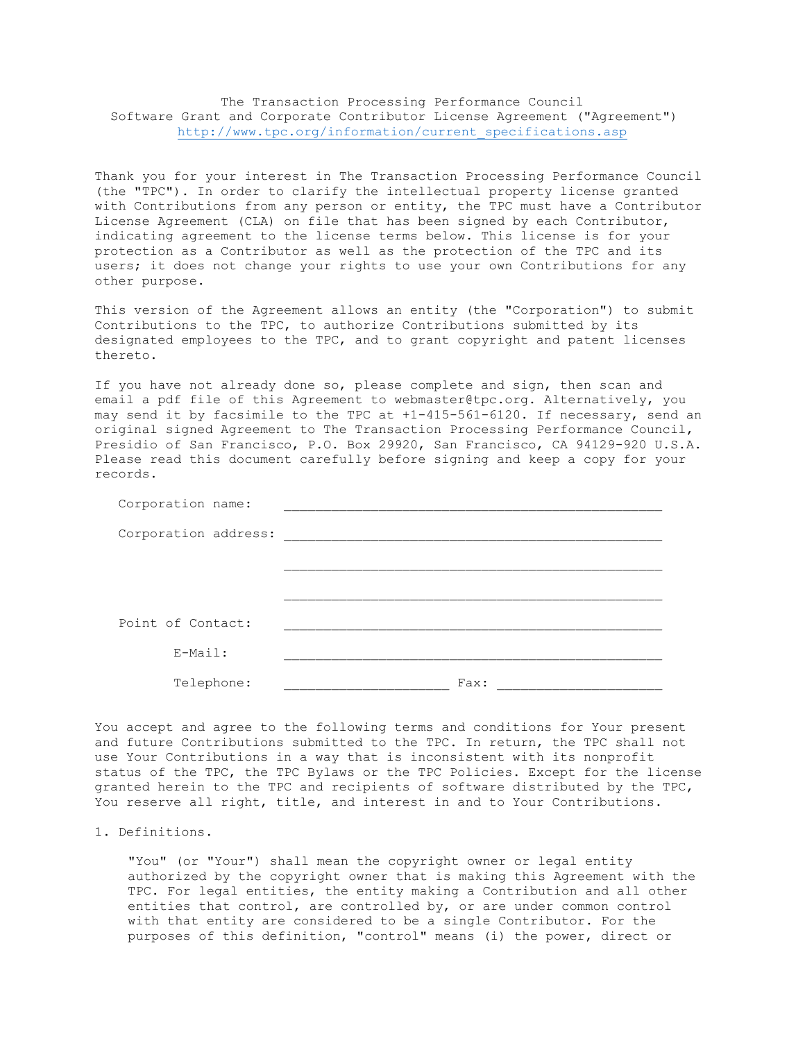## The Transaction Processing Performance Council Software Grant and Corporate Contributor License Agreement ("Agreement") [http://www.tpc.org/information/current\\_specifications.asp](http://www.tpc.org/information/current_specifications.asp)

Thank you for your interest in The Transaction Processing Performance Council (the "TPC"). In order to clarify the intellectual property license granted with Contributions from any person or entity, the TPC must have a Contributor License Agreement (CLA) on file that has been signed by each Contributor, indicating agreement to the license terms below. This license is for your protection as a Contributor as well as the protection of the TPC and its users; it does not change your rights to use your own Contributions for any other purpose.

This version of the Agreement allows an entity (the "Corporation") to submit Contributions to the TPC, to authorize Contributions submitted by its designated employees to the TPC, and to grant copyright and patent licenses thereto.

If you have not already done so, please complete and sign, then scan and email a pdf file of this Agreement to webmaster@tpc.org. Alternatively, you may send it by facsimile to the TPC at +1-415-561-6120. If necessary, send an original signed Agreement to The Transaction Processing Performance Council, Presidio of San Francisco, P.O. Box 29920, San Francisco, CA 94129-920 U.S.A. Please read this document carefully before signing and keep a copy for your records.

| Corporation name:    |      |
|----------------------|------|
| Corporation address: |      |
|                      |      |
|                      |      |
|                      |      |
| Point of Contact:    |      |
| $E-Mail:$            |      |
| Telephone:           | Fax: |

You accept and agree to the following terms and conditions for Your present and future Contributions submitted to the TPC. In return, the TPC shall not use Your Contributions in a way that is inconsistent with its nonprofit status of the TPC, the TPC Bylaws or the TPC Policies. Except for the license granted herein to the TPC and recipients of software distributed by the TPC, You reserve all right, title, and interest in and to Your Contributions.

## 1. Definitions.

"You" (or "Your") shall mean the copyright owner or legal entity authorized by the copyright owner that is making this Agreement with the TPC. For legal entities, the entity making a Contribution and all other entities that control, are controlled by, or are under common control with that entity are considered to be a single Contributor. For the purposes of this definition, "control" means (i) the power, direct or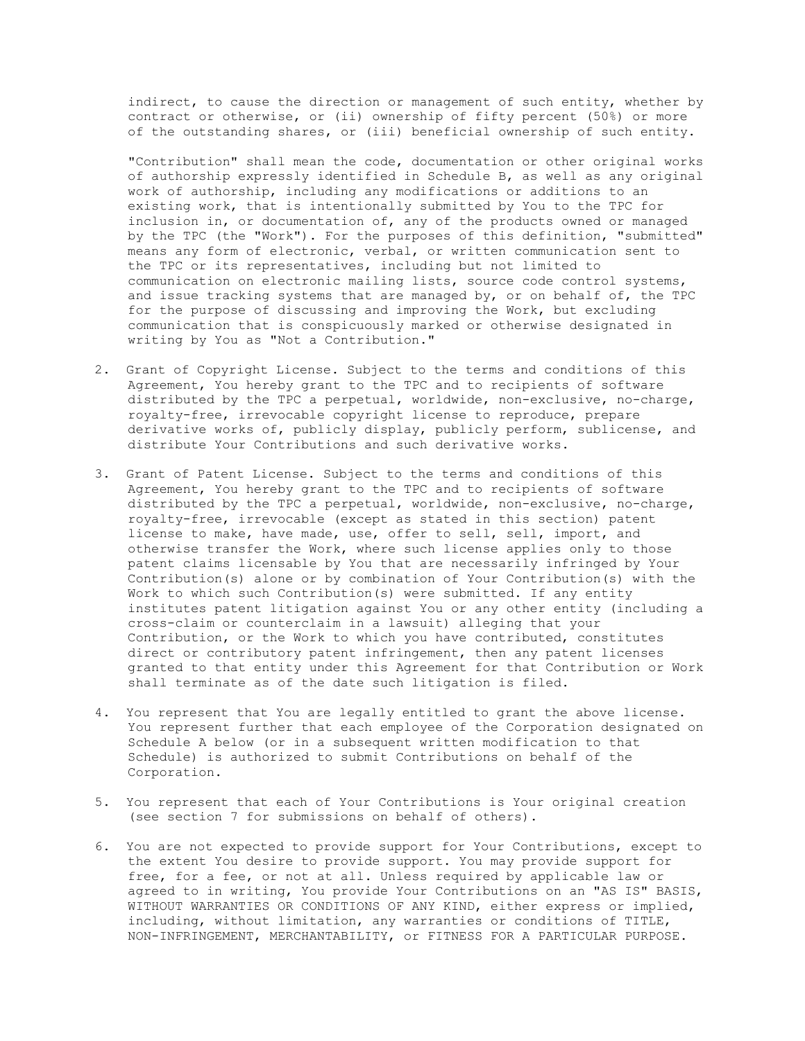indirect, to cause the direction or management of such entity, whether by contract or otherwise, or (ii) ownership of fifty percent (50%) or more of the outstanding shares, or (iii) beneficial ownership of such entity.

"Contribution" shall mean the code, documentation or other original works of authorship expressly identified in Schedule B, as well as any original work of authorship, including any modifications or additions to an existing work, that is intentionally submitted by You to the TPC for inclusion in, or documentation of, any of the products owned or managed by the TPC (the "Work"). For the purposes of this definition, "submitted" means any form of electronic, verbal, or written communication sent to the TPC or its representatives, including but not limited to communication on electronic mailing lists, source code control systems, and issue tracking systems that are managed by, or on behalf of, the TPC for the purpose of discussing and improving the Work, but excluding communication that is conspicuously marked or otherwise designated in writing by You as "Not a Contribution."

- 2. Grant of Copyright License. Subject to the terms and conditions of this Agreement, You hereby grant to the TPC and to recipients of software distributed by the TPC a perpetual, worldwide, non-exclusive, no-charge, royalty-free, irrevocable copyright license to reproduce, prepare derivative works of, publicly display, publicly perform, sublicense, and distribute Your Contributions and such derivative works.
- 3. Grant of Patent License. Subject to the terms and conditions of this Agreement, You hereby grant to the TPC and to recipients of software distributed by the TPC a perpetual, worldwide, non-exclusive, no-charge, royalty-free, irrevocable (except as stated in this section) patent license to make, have made, use, offer to sell, sell, import, and otherwise transfer the Work, where such license applies only to those patent claims licensable by You that are necessarily infringed by Your Contribution(s) alone or by combination of Your Contribution(s) with the Work to which such Contribution(s) were submitted. If any entity institutes patent litigation against You or any other entity (including a cross-claim or counterclaim in a lawsuit) alleging that your Contribution, or the Work to which you have contributed, constitutes direct or contributory patent infringement, then any patent licenses granted to that entity under this Agreement for that Contribution or Work shall terminate as of the date such litigation is filed.
- 4. You represent that You are legally entitled to grant the above license. You represent further that each employee of the Corporation designated on Schedule A below (or in a subsequent written modification to that Schedule) is authorized to submit Contributions on behalf of the Corporation.
- 5. You represent that each of Your Contributions is Your original creation (see section 7 for submissions on behalf of others).
- 6. You are not expected to provide support for Your Contributions, except to the extent You desire to provide support. You may provide support for free, for a fee, or not at all. Unless required by applicable law or agreed to in writing, You provide Your Contributions on an "AS IS" BASIS, WITHOUT WARRANTIES OR CONDITIONS OF ANY KIND, either express or implied, including, without limitation, any warranties or conditions of TITLE, NON-INFRINGEMENT, MERCHANTABILITY, or FITNESS FOR A PARTICULAR PURPOSE.